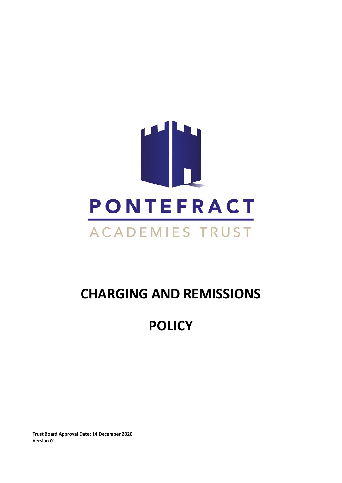

# **CHARGING AND REMISSIONS**

## **POLICY**

**Trust Board Approval Date: 14 December 2020 Version 01**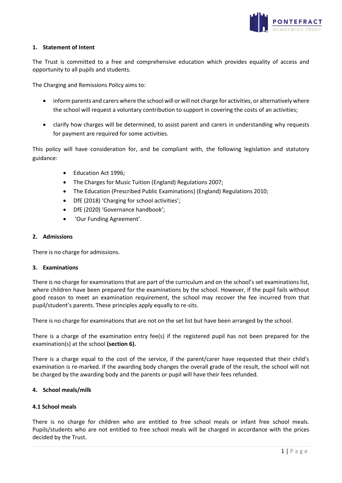

## **1. Statement of Intent**

The Trust is committed to a free and comprehensive education which provides equality of access and opportunity to all pupils and students.

The Charging and Remissions Policy aims to:

- inform parents and carers where the school will or will not charge for activities, or alternatively where the school will request a voluntary contribution to support in covering the costs of an activities;
- clarify how charges will be determined, to assist parent and carers in understanding why requests for payment are required for some activities.

This policy will have consideration for, and be compliant with, the following legislation and statutory guidance:

- Education Act 1996;
- The Charges for Music Tuition (England) Regulations 2007;
- The Education (Prescribed Public Examinations) (England) Regulations 2010;
- DfE (2018) 'Charging for school activities';
- DfE (2020) 'Governance handbook';
- 'Our Funding Agreement'.

### **2. Admissions**

There is no charge for admissions.

### **3. Examinations**

There is no charge for examinations that are part of the curriculum and on the school's set examinations list, where children have been prepared for the examinations by the school. However, if the pupil fails without good reason to meet an examination requirement, the school may recover the fee incurred from that pupil/student's parents. These principles apply equally to re-sits.

There is no charge for examinations that are not on the set list but have been arranged by the school.

There is a charge of the examination entry fee(s) if the registered pupil has not been prepared for the examination(s) at the school **(section 6).**

There is a charge equal to the cost of the service, if the parent/carer have requested that their child's examination is re-marked. If the awarding body changes the overall grade of the result, the school will not be charged by the awarding body and the parents or pupil will have their fees refunded.

### **4. School meals/milk**

## **4.1 School meals**

There is no charge for children who are entitled to free school meals or infant free school meals. Pupils/students who are not entitled to free school meals will be charged in accordance with the prices decided by the Trust.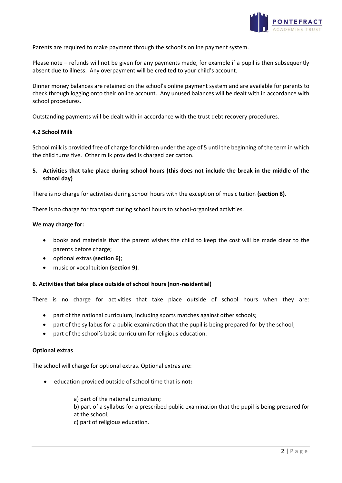

Parents are required to make payment through the school's online payment system.

Please note – refunds will not be given for any payments made, for example if a pupil is then subsequently absent due to illness. Any overpayment will be credited to your child's account.

Dinner money balances are retained on the school's online payment system and are available for parents to check through logging onto their online account. Any unused balances will be dealt with in accordance with school procedures.

Outstanding payments will be dealt with in accordance with the trust debt recovery procedures.

#### **4.2 School Milk**

School milk is provided free of charge for children under the age of 5 until the beginning of the term in which the child turns five. Other milk provided is charged per carton.

## **5. Activities that take place during school hours (this does not include the break in the middle of the school day)**

There is no charge for activities during school hours with the exception of music tuition **(section 8)**.

There is no charge for transport during school hours to school-organised activities.

#### **We may charge for:**

- books and materials that the parent wishes the child to keep the cost will be made clear to the parents before charge;
- optional extras **(section 6)**;
- music or vocal tuition **(section 9)**.

### **6. Activities that take place outside of school hours (non-residential)**

There is no charge for activities that take place outside of school hours when they are:

- part of the national curriculum, including sports matches against other schools;
- part of the syllabus for a public examination that the pupil is being prepared for by the school;
- part of the school's basic curriculum for religious education.

#### **Optional extras**

The school will charge for optional extras. Optional extras are:

education provided outside of school time that is **not:**

a) part of the national curriculum;

b) part of a syllabus for a prescribed public examination that the pupil is being prepared for at the school;

c) part of religious education.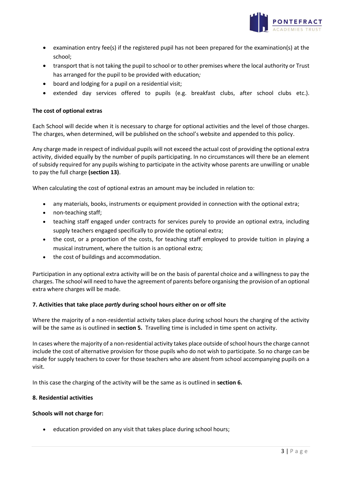

- examination entry fee(s) if the registered pupil has not been prepared for the examination(s) at the school;
- transport that is not taking the pupil to school or to other premises where the local authority or Trust has arranged for the pupil to be provided with education*;*
- board and lodging for a pupil on a residential visit;
- extended day services offered to pupils (e.g. breakfast clubs, after school clubs etc.).

### **The cost of optional extras**

Each School will decide when it is necessary to charge for optional activities and the level of those charges. The charges, when determined, will be published on the school's website and appended to this policy.

Any charge made in respect of individual pupils will not exceed the actual cost of providing the optional extra activity, divided equally by the number of pupils participating. In no circumstances will there be an element of subsidy required for any pupils wishing to participate in the activity whose parents are unwilling or unable to pay the full charge **(section 13)**.

When calculating the cost of optional extras an amount may be included in relation to:

- any materials, books, instruments or equipment provided in connection with the optional extra;
- non-teaching staff;
- teaching staff engaged under contracts for services purely to provide an optional extra, including supply teachers engaged specifically to provide the optional extra;
- the cost, or a proportion of the costs, for teaching staff employed to provide tuition in playing a musical instrument, where the tuition is an optional extra;
- the cost of buildings and accommodation.

Participation in any optional extra activity will be on the basis of parental choice and a willingness to pay the charges. The school will need to have the agreement of parents before organising the provision of an optional extra where charges will be made.

### **7. Activities that take place** *partly* **during school hours either on or off site**

Where the majority of a non-residential activity takes place during school hours the charging of the activity will be the same as is outlined in **section 5.** Travelling time is included in time spent on activity.

In cases where the majority of a non-residential activity takes place outside of school hours the charge cannot include the cost of alternative provision for those pupils who do not wish to participate. So no charge can be made for supply teachers to cover for those teachers who are absent from school accompanying pupils on a visit.

In this case the charging of the activity will be the same as is outlined in **section 6.**

### **8. Residential activities**

### **Schools will not charge for:**

education provided on any visit that takes place during school hours;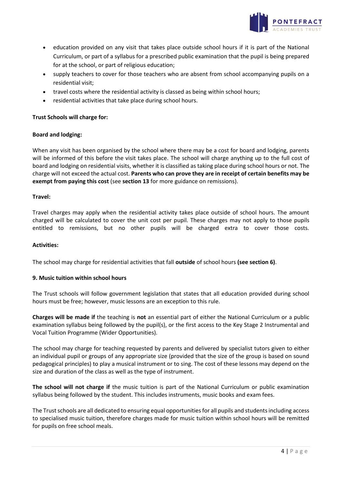

- education provided on any visit that takes place outside school hours if it is part of the National Curriculum, or part of a syllabus for a prescribed public examination that the pupil is being prepared for at the school, or part of religious education;
- supply teachers to cover for those teachers who are absent from school accompanying pupils on a residential visit;
- travel costs where the residential activity is classed as being within school hours;
- residential activities that take place during school hours.

## **Trust Schools will charge for:**

## **Board and lodging:**

When any visit has been organised by the school where there may be a cost for board and lodging, parents will be informed of this before the visit takes place. The school will charge anything up to the full cost of board and lodging on residential visits, whether it is classified as taking place during school hours or not. The charge will not exceed the actual cost. **Parents who can prove they are in receipt of certain benefits may be exempt from paying this cost** (see **section 13** for more guidance on remissions).

### **Travel:**

Travel charges may apply when the residential activity takes place outside of school hours. The amount charged will be calculated to cover the unit cost per pupil. These charges may not apply to those pupils entitled to remissions, but no other pupils will be charged extra to cover those costs.

### **Activities:**

The school may charge for residential activities that fall **outside** of school hours **(see section 6)**.

### **9. Music tuition within school hours**

The Trust schools will follow government legislation that states that all education provided during school hours must be free; however, music lessons are an exception to this rule.

**Charges will be made if** the teaching is **not** an essential part of either the National Curriculum or a public examination syllabus being followed by the pupil(s), or the first access to the Key Stage 2 Instrumental and Vocal Tuition Programme (Wider Opportunities).

The school may charge for teaching requested by parents and delivered by specialist tutors given to either an individual pupil or groups of any appropriate size (provided that the size of the group is based on sound pedagogical principles) to play a musical instrument or to sing. The cost of these lessons may depend on the size and duration of the class as well as the type of instrument.

**The school will not charge if** the music tuition is part of the National Curriculum or public examination syllabus being followed by the student. This includes instruments, music books and exam fees.

The Trust schools are all dedicated to ensuring equal opportunities for all pupils and studentsincluding access to specialised music tuition, therefore charges made for music tuition within school hours will be remitted for pupils on free school meals.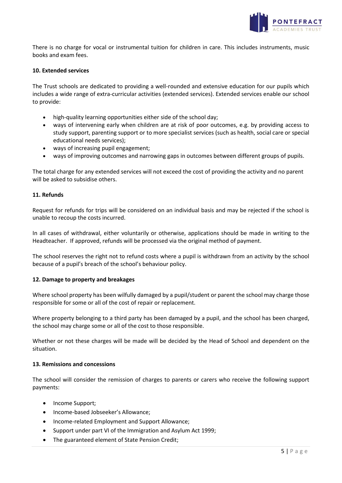

There is no charge for vocal or instrumental tuition for children in care. This includes instruments, music books and exam fees.

#### **10. Extended services**

The Trust schools are dedicated to providing a well-rounded and extensive education for our pupils which includes a wide range of extra-curricular activities (extended services). Extended services enable our school to provide:

- high-quality learning opportunities either side of the school day;
- ways of intervening early when children are at risk of poor outcomes, e.g. by providing access to study support, parenting support or to more specialist services (such as health, social care or special educational needs services);
- ways of increasing pupil engagement;
- ways of improving outcomes and narrowing gaps in outcomes between different groups of pupils.

The total charge for any extended services will not exceed the cost of providing the activity and no parent will be asked to subsidise others.

#### **11. Refunds**

Request for refunds for trips will be considered on an individual basis and may be rejected if the school is unable to recoup the costs incurred.

In all cases of withdrawal, either voluntarily or otherwise, applications should be made in writing to the Headteacher. If approved, refunds will be processed via the original method of payment.

The school reserves the right not to refund costs where a pupil is withdrawn from an activity by the school because of a pupil's breach of the school's behaviour policy.

### **12. Damage to property and breakages**

Where school property has been wilfully damaged by a pupil/student or parent the school may charge those responsible for some or all of the cost of repair or replacement.

Where property belonging to a third party has been damaged by a pupil, and the school has been charged, the school may charge some or all of the cost to those responsible.

Whether or not these charges will be made will be decided by the Head of School and dependent on the situation.

#### **13. Remissions and concessions**

The school will consider the remission of charges to parents or carers who receive the following support payments:

- Income Support;
- Income-based Jobseeker's Allowance;
- Income-related Employment and Support Allowance;
- Support under part VI of the Immigration and Asylum Act 1999;
- The guaranteed element of State Pension Credit;